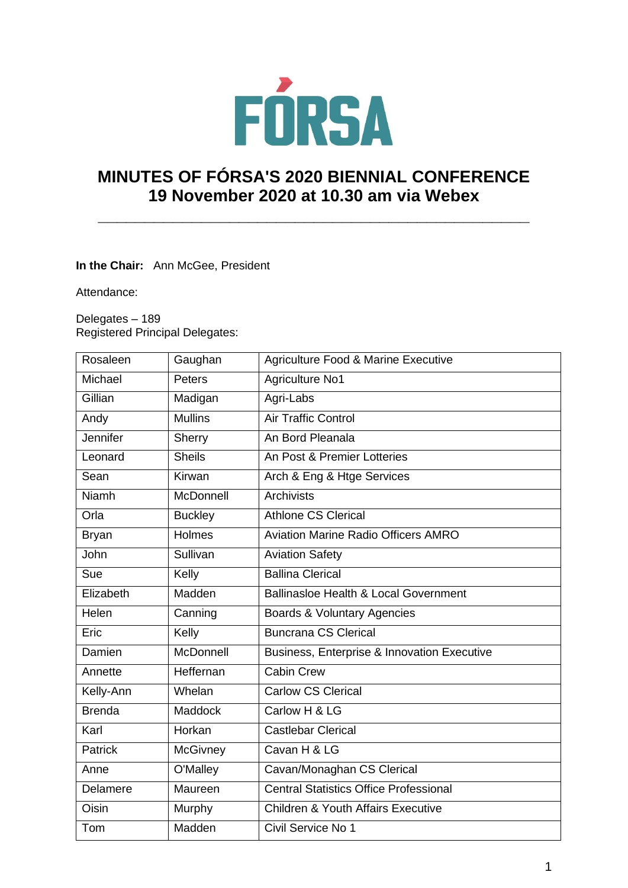

# **MINUTES OF FÓRSA'S 2020 BIENNIAL CONFERENCE 19 November 2020 at 10.30 am via Webex**

**\_\_\_\_\_\_\_\_\_\_\_\_\_\_\_\_\_\_\_\_\_\_\_\_\_\_\_\_\_\_\_\_\_\_\_\_\_\_\_\_\_\_\_\_\_\_** 

## **In the Chair:** Ann McGee, President

Attendance:

Delegates – 189 Registered Principal Delegates:

| Rosaleen            | Gaughan                                                  | <b>Agriculture Food &amp; Marine Executive</b> |  |
|---------------------|----------------------------------------------------------|------------------------------------------------|--|
| Michael             | Peters                                                   | <b>Agriculture No1</b>                         |  |
| Gillian             | Madigan                                                  | Agri-Labs                                      |  |
| Andy                | <b>Mullins</b>                                           | <b>Air Traffic Control</b>                     |  |
| Jennifer            | Sherry                                                   | An Bord Pleanala                               |  |
| Leonard             | <b>Sheils</b>                                            | An Post & Premier Lotteries                    |  |
| Sean                | Kirwan                                                   | Arch & Eng & Htge Services                     |  |
| <b>Niamh</b>        | <b>McDonnell</b>                                         | Archivists                                     |  |
| Orla                | <b>Buckley</b>                                           | <b>Athlone CS Clerical</b>                     |  |
| <b>Bryan</b>        | Holmes                                                   | <b>Aviation Marine Radio Officers AMRO</b>     |  |
| John<br>Sullivan    |                                                          | <b>Aviation Safety</b>                         |  |
| Kelly<br>Sue        |                                                          | <b>Ballina Clerical</b>                        |  |
| Elizabeth           | Madden                                                   | Ballinasloe Health & Local Government          |  |
| Helen               | Canning                                                  | Boards & Voluntary Agencies                    |  |
| Eric<br>Kelly       |                                                          | <b>Buncrana CS Clerical</b>                    |  |
| Damien<br>McDonnell |                                                          | Business, Enterprise & Innovation Executive    |  |
| Annette             | Heffernan                                                | <b>Cabin Crew</b>                              |  |
| Kelly-Ann           | Whelan                                                   | <b>Carlow CS Clerical</b>                      |  |
| <b>Brenda</b>       | <b>Maddock</b>                                           | Carlow H & LG                                  |  |
| Karl                | Horkan                                                   | <b>Castlebar Clerical</b>                      |  |
| Patrick             | <b>McGivney</b>                                          | Cavan H & LG                                   |  |
| Anne                | O'Malley                                                 | Cavan/Monaghan CS Clerical                     |  |
| Delamere            | <b>Central Statistics Office Professional</b><br>Maureen |                                                |  |
| Oisin               | Murphy                                                   | <b>Children &amp; Youth Affairs Executive</b>  |  |
| Tom                 | Madden                                                   | Civil Service No 1                             |  |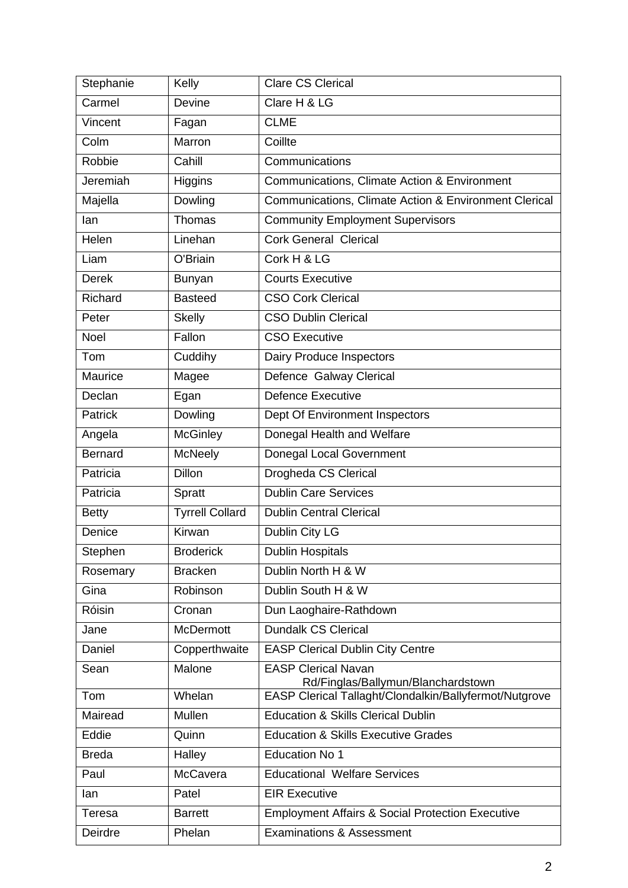| Stephanie      | Kelly                  | <b>Clare CS Clerical</b>                                         |  |
|----------------|------------------------|------------------------------------------------------------------|--|
| Carmel         | Devine                 | Clare H & LG                                                     |  |
| Vincent        | Fagan                  | <b>CLME</b>                                                      |  |
| Colm           | Marron                 | Coillte                                                          |  |
| Robbie         | Cahill                 | Communications                                                   |  |
| Jeremiah       | Higgins                | Communications, Climate Action & Environment                     |  |
| Majella        | Dowling                | Communications, Climate Action & Environment Clerical            |  |
| lan            | <b>Thomas</b>          | <b>Community Employment Supervisors</b>                          |  |
| Helen          | Linehan                | <b>Cork General Clerical</b>                                     |  |
| Liam           | O'Briain               | Cork H & LG                                                      |  |
| <b>Derek</b>   | <b>Bunyan</b>          | <b>Courts Executive</b>                                          |  |
| Richard        | <b>Basteed</b>         | <b>CSO Cork Clerical</b>                                         |  |
| Peter          | <b>Skelly</b>          | <b>CSO Dublin Clerical</b>                                       |  |
| Noel           | Fallon                 | <b>CSO Executive</b>                                             |  |
| Tom            | Cuddihy                | Dairy Produce Inspectors                                         |  |
| Maurice        | Magee                  | Defence Galway Clerical                                          |  |
| Declan         | Egan                   | <b>Defence Executive</b>                                         |  |
| <b>Patrick</b> | Dowling                | Dept Of Environment Inspectors                                   |  |
| Angela         | <b>McGinley</b>        | Donegal Health and Welfare                                       |  |
| <b>Bernard</b> | McNeely                | Donegal Local Government                                         |  |
| Patricia       | <b>Dillon</b>          | Drogheda CS Clerical                                             |  |
| Patricia       | Spratt                 | <b>Dublin Care Services</b>                                      |  |
| <b>Betty</b>   | <b>Tyrrell Collard</b> | <b>Dublin Central Clerical</b>                                   |  |
| Denice         | Kirwan                 | Dublin City LG                                                   |  |
| Stephen        | <b>Broderick</b>       | <b>Dublin Hospitals</b>                                          |  |
| Rosemary       | <b>Bracken</b>         | Dublin North H & W                                               |  |
| Gina           | Robinson               | Dublin South H & W                                               |  |
| Róisin         | Cronan                 | Dun Laoghaire-Rathdown                                           |  |
| Jane           | <b>McDermott</b>       | <b>Dundalk CS Clerical</b>                                       |  |
| Daniel         | Copperthwaite          | <b>EASP Clerical Dublin City Centre</b>                          |  |
| Sean           | Malone                 | <b>EASP Clerical Navan</b><br>Rd/Finglas/Ballymun/Blanchardstown |  |
| Tom            | Whelan                 | EASP Clerical Tallaght/Clondalkin/Ballyfermot/Nutgrove           |  |
| Mairead        | Mullen                 | <b>Education &amp; Skills Clerical Dublin</b>                    |  |
| Eddie          | Quinn                  | <b>Education &amp; Skills Executive Grades</b>                   |  |
| <b>Breda</b>   | Halley                 | <b>Education No 1</b>                                            |  |
| Paul           | McCavera               | <b>Educational Welfare Services</b>                              |  |
| lan            | Patel                  | <b>EIR Executive</b>                                             |  |
| Teresa         | <b>Barrett</b>         | <b>Employment Affairs &amp; Social Protection Executive</b>      |  |
| Deirdre        | Phelan                 | <b>Examinations &amp; Assessment</b>                             |  |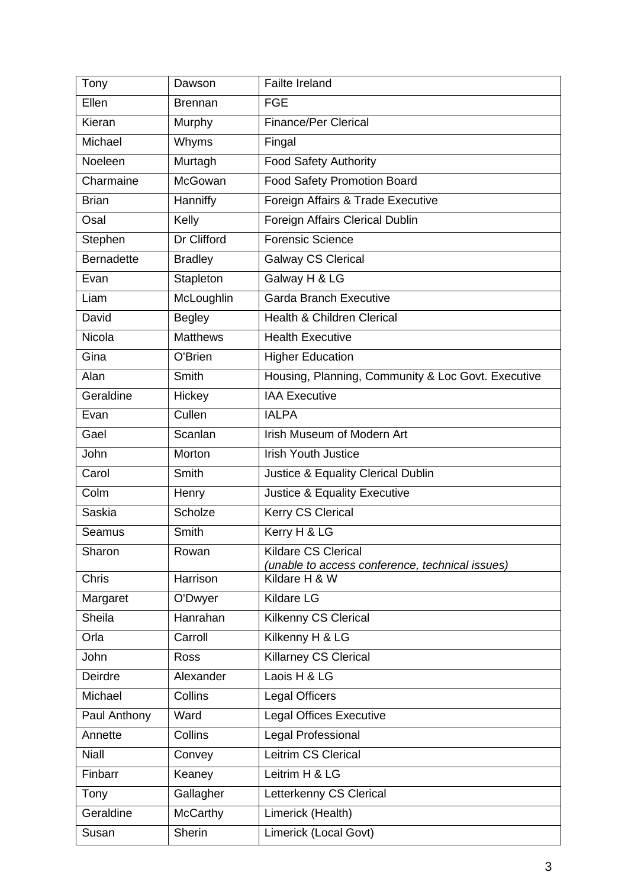| Tony              | Dawson                                  | <b>Failte Ireland</b>                                                         |  |
|-------------------|-----------------------------------------|-------------------------------------------------------------------------------|--|
| Ellen             | <b>Brennan</b>                          | <b>FGE</b>                                                                    |  |
| Kieran            | Murphy                                  | <b>Finance/Per Clerical</b>                                                   |  |
| Michael           | Whyms                                   | Fingal                                                                        |  |
| Noeleen           | Murtagh                                 | <b>Food Safety Authority</b>                                                  |  |
| Charmaine         | McGowan                                 | <b>Food Safety Promotion Board</b>                                            |  |
| <b>Brian</b>      | Hanniffy                                | Foreign Affairs & Trade Executive                                             |  |
| Osal              | Kelly                                   | Foreign Affairs Clerical Dublin                                               |  |
| Stephen           | Dr Clifford                             | <b>Forensic Science</b>                                                       |  |
| <b>Bernadette</b> | <b>Bradley</b>                          | <b>Galway CS Clerical</b>                                                     |  |
| Evan              | Stapleton                               | Galway H & LG                                                                 |  |
| Liam              | McLoughlin                              | <b>Garda Branch Executive</b>                                                 |  |
| David             | <b>Begley</b>                           | <b>Health &amp; Children Clerical</b>                                         |  |
| Nicola            | <b>Matthews</b>                         | <b>Health Executive</b>                                                       |  |
| Gina              | O'Brien                                 | <b>Higher Education</b>                                                       |  |
| Alan              | Smith                                   | Housing, Planning, Community & Loc Govt. Executive                            |  |
| Geraldine         | <b>IAA</b> Executive<br>Hickey          |                                                                               |  |
| Evan              | Cullen                                  | <b>IALPA</b>                                                                  |  |
| Gael              | Scanlan                                 | Irish Museum of Modern Art                                                    |  |
| John              | Morton                                  | <b>Irish Youth Justice</b>                                                    |  |
| Carol             | Smith                                   | Justice & Equality Clerical Dublin                                            |  |
| Colm              | Henry                                   | Justice & Equality Executive                                                  |  |
| <b>Saskia</b>     | Scholze                                 | Kerry CS Clerical                                                             |  |
| Seamus            | Smith                                   | Kerry H & LG                                                                  |  |
| Sharon            | Rowan                                   | <b>Kildare CS Clerical</b><br>(unable to access conference, technical issues) |  |
| <b>Chris</b>      | Harrison                                | Kildare H & W                                                                 |  |
| Margaret          | O'Dwyer                                 | Kildare LG                                                                    |  |
| Sheila            | Hanrahan<br><b>Kilkenny CS Clerical</b> |                                                                               |  |
| Orla              | Carroll<br>Kilkenny H & LG              |                                                                               |  |
| John              | <b>Ross</b>                             | <b>Killarney CS Clerical</b>                                                  |  |
| Deirdre           | Alexander                               | Laois H & LG                                                                  |  |
| Michael           | Collins                                 | <b>Legal Officers</b>                                                         |  |
| Paul Anthony      | Ward                                    | <b>Legal Offices Executive</b>                                                |  |
| Annette           | Collins                                 | Legal Professional                                                            |  |
| <b>Niall</b>      | Convey                                  | Leitrim CS Clerical                                                           |  |
| Finbarr           | Keaney                                  | Leitrim H & LG                                                                |  |
| Tony              | Gallagher                               | Letterkenny CS Clerical                                                       |  |
| Geraldine         | <b>McCarthy</b>                         | Limerick (Health)                                                             |  |
| Susan             | Sherin                                  | Limerick (Local Govt)                                                         |  |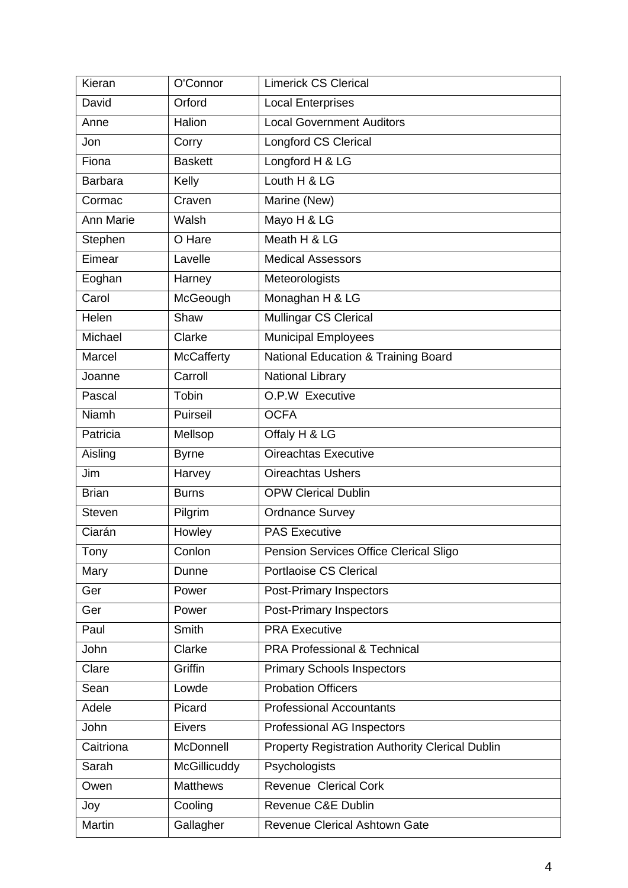| Kieran                                         | O'Connor                      | <b>Limerick CS Clerical</b>                            |  |
|------------------------------------------------|-------------------------------|--------------------------------------------------------|--|
| David                                          | Orford                        | <b>Local Enterprises</b>                               |  |
| Anne                                           | Halion                        | <b>Local Government Auditors</b>                       |  |
| Jon                                            | Corry                         | Longford CS Clerical                                   |  |
| Fiona                                          | <b>Baskett</b>                | Longford H & LG                                        |  |
| <b>Barbara</b>                                 | Kelly                         | Louth H & LG                                           |  |
| Cormac                                         | Craven                        | Marine (New)                                           |  |
| <b>Ann Marie</b>                               | Walsh                         | Mayo H & LG                                            |  |
| Stephen                                        | O Hare                        | Meath H & LG                                           |  |
| Eimear                                         | Lavelle                       | <b>Medical Assessors</b>                               |  |
| Eoghan                                         | Harney                        | Meteorologists                                         |  |
| Carol                                          | McGeough                      | Monaghan H & LG                                        |  |
| Helen                                          | Shaw                          | <b>Mullingar CS Clerical</b>                           |  |
| Michael                                        | Clarke                        | <b>Municipal Employees</b>                             |  |
| Marcel                                         | <b>McCafferty</b>             | <b>National Education &amp; Training Board</b>         |  |
| Joanne                                         | Carroll                       | National Library                                       |  |
| Pascal                                         | Tobin                         | O.P.W Executive                                        |  |
| Niamh                                          | Puirseil                      | <b>OCFA</b>                                            |  |
| Patricia                                       | Mellsop                       | Offaly H & LG                                          |  |
| Aisling                                        | <b>Byrne</b>                  | Oireachtas Executive                                   |  |
| Jim                                            | Harvey                        | <b>Oireachtas Ushers</b>                               |  |
| Brian                                          | <b>Burns</b>                  | <b>OPW Clerical Dublin</b>                             |  |
| <b>Steven</b>                                  | Pilgrim                       | <b>Ordnance Survey</b>                                 |  |
| Ciarán                                         | Howley                        | <b>PAS Executive</b>                                   |  |
| Tony                                           | Conlon                        | Pension Services Office Clerical Sligo                 |  |
| <b>Portlaoise CS Clerical</b><br>Mary<br>Dunne |                               |                                                        |  |
| Ger                                            | Power                         | <b>Post-Primary Inspectors</b>                         |  |
| Ger                                            | Power                         | Post-Primary Inspectors                                |  |
| Paul                                           | <b>PRA Executive</b><br>Smith |                                                        |  |
| John                                           | Clarke                        | <b>PRA Professional &amp; Technical</b>                |  |
| Clare                                          | Griffin                       | <b>Primary Schools Inspectors</b>                      |  |
| Sean                                           | Lowde                         | <b>Probation Officers</b>                              |  |
| Adele                                          | Picard                        | <b>Professional Accountants</b>                        |  |
| John                                           | <b>Eivers</b>                 | Professional AG Inspectors                             |  |
| Caitriona                                      | McDonnell                     | <b>Property Registration Authority Clerical Dublin</b> |  |
| Sarah                                          | McGillicuddy                  | Psychologists                                          |  |
| Owen                                           | <b>Matthews</b>               | <b>Revenue Clerical Cork</b>                           |  |
| Joy                                            | Cooling                       | Revenue C&E Dublin                                     |  |
| Martin                                         | Gallagher                     | <b>Revenue Clerical Ashtown Gate</b>                   |  |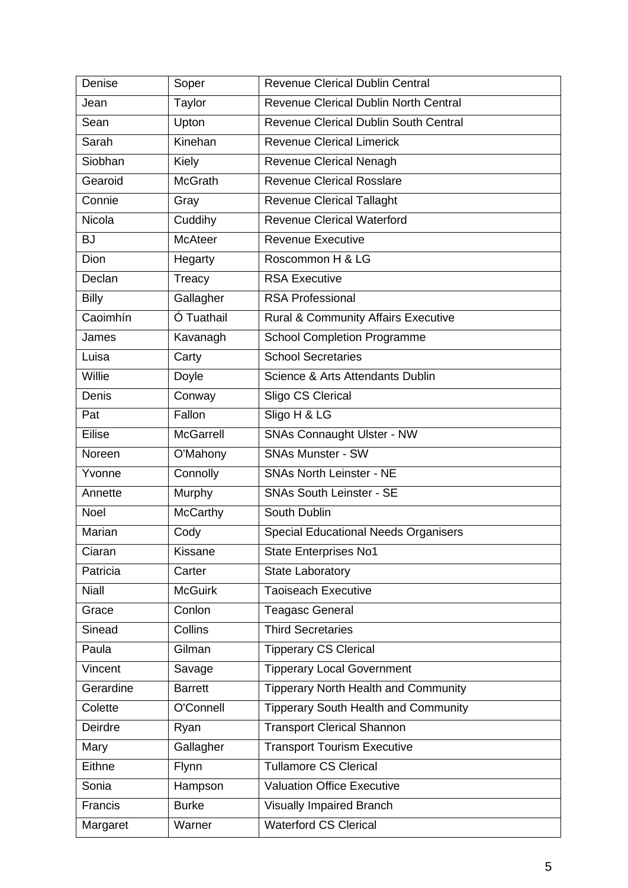| Denise       | Soper            | <b>Revenue Clerical Dublin Central</b>         |  |
|--------------|------------------|------------------------------------------------|--|
| Jean         | Taylor           | Revenue Clerical Dublin North Central          |  |
| Sean         | Upton            | <b>Revenue Clerical Dublin South Central</b>   |  |
| Sarah        | Kinehan          | <b>Revenue Clerical Limerick</b>               |  |
| Siobhan      | Kiely            | Revenue Clerical Nenagh                        |  |
| Gearoid      | <b>McGrath</b>   | <b>Revenue Clerical Rosslare</b>               |  |
| Connie       | Gray             | <b>Revenue Clerical Tallaght</b>               |  |
| Nicola       | Cuddihy          | <b>Revenue Clerical Waterford</b>              |  |
| <b>BJ</b>    | <b>McAteer</b>   | <b>Revenue Executive</b>                       |  |
| Dion         | Hegarty          | Roscommon H & LG                               |  |
| Declan       | Treacy           | <b>RSA Executive</b>                           |  |
| <b>Billy</b> | Gallagher        | <b>RSA Professional</b>                        |  |
| Caoimhín     | Ó Tuathail       | <b>Rural &amp; Community Affairs Executive</b> |  |
| James        | Kavanagh         | <b>School Completion Programme</b>             |  |
| Luisa        | Carty            | <b>School Secretaries</b>                      |  |
| Willie       | Doyle            | Science & Arts Attendants Dublin               |  |
| Denis        | Conway           | Sligo CS Clerical                              |  |
| Pat          | Fallon           | Sligo H & LG                                   |  |
| Eilise       | <b>McGarrell</b> | <b>SNAs Connaught Ulster - NW</b>              |  |
| Noreen       | O'Mahony         | <b>SNAs Munster - SW</b>                       |  |
| Yvonne       | Connolly         | <b>SNAs North Leinster - NE</b>                |  |
| Annette      | Murphy           | <b>SNAs South Leinster - SE</b>                |  |
| Noel         | <b>McCarthy</b>  | South Dublin                                   |  |
| Marian       | Cody             | <b>Special Educational Needs Organisers</b>    |  |
| Ciaran       | Kissane          | <b>State Enterprises No1</b>                   |  |
| Patricia     | Carter           | <b>State Laboratory</b>                        |  |
| <b>Niall</b> | <b>McGuirk</b>   | <b>Taoiseach Executive</b>                     |  |
| Grace        | Conlon           | <b>Teagasc General</b>                         |  |
| Sinead       | <b>Collins</b>   | <b>Third Secretaries</b>                       |  |
| Paula        | Gilman           | <b>Tipperary CS Clerical</b>                   |  |
| Vincent      | Savage           | <b>Tipperary Local Government</b>              |  |
| Gerardine    | <b>Barrett</b>   | <b>Tipperary North Health and Community</b>    |  |
| Colette      | O'Connell        | <b>Tipperary South Health and Community</b>    |  |
| Deirdre      | Ryan             | <b>Transport Clerical Shannon</b>              |  |
| Mary         | Gallagher        | <b>Transport Tourism Executive</b>             |  |
| Eithne       | Flynn            | <b>Tullamore CS Clerical</b>                   |  |
| Sonia        | Hampson          | <b>Valuation Office Executive</b>              |  |
| Francis      | <b>Burke</b>     | <b>Visually Impaired Branch</b>                |  |
| Margaret     | Warner           | <b>Waterford CS Clerical</b>                   |  |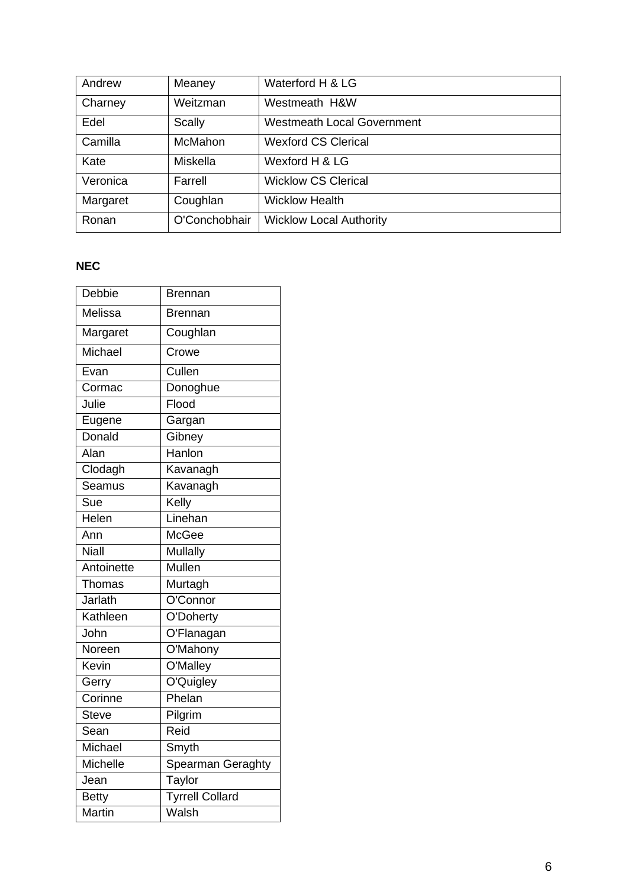| Andrew   | Meaney         | Waterford H & LG                  |
|----------|----------------|-----------------------------------|
| Charney  | Weitzman       | Westmeath H&W                     |
| Edel     | <b>Scally</b>  | <b>Westmeath Local Government</b> |
| Camilla  | <b>McMahon</b> | <b>Wexford CS Clerical</b>        |
| Kate     | Miskella       | Wexford H & LG                    |
| Veronica | Farrell        | <b>Wicklow CS Clerical</b>        |
| Margaret | Coughlan       | <b>Wicklow Health</b>             |
| Ronan    | O'Conchobhair  | <b>Wicklow Local Authority</b>    |

# **NEC**

| Debbie         | Brennan                |
|----------------|------------------------|
| Melissa        | Brennan                |
| Margaret       | Coughlan               |
| Michael        | Crowe                  |
| Evan           | Cullen                 |
| Cormac         | Donoghue               |
| Julie          | Flood                  |
| Eugene         | Gargan                 |
| Donald         | Gibney                 |
| Alan           | Hanlon                 |
| Clodagh        | Kavanagh               |
| Seamus         | Kavanagh               |
| Sue            | Kelly                  |
| Helen          | Linehan                |
| Ann            | <b>McGee</b>           |
| <b>Niall</b>   | Mullally               |
| Antoinette     | Mullen                 |
| Thomas         | Murtagh                |
| <b>Jarlath</b> | O'Connor               |
| Kathleen       | O'Doherty              |
| John           | O'Flanagan             |
| Noreen         | O'Mahony               |
| Kevin          | O'Malley               |
| Gerry          | O'Quigley              |
| Corinne        | Phelan                 |
| <b>Steve</b>   | Pilgrim                |
| Sean           | Reid                   |
| Michael        | Smyth                  |
| Michelle       | Spearman Geraghty      |
| Jean           | Taylor                 |
| <b>Betty</b>   | <b>Tyrrell Collard</b> |
| <b>Martin</b>  | Walsh                  |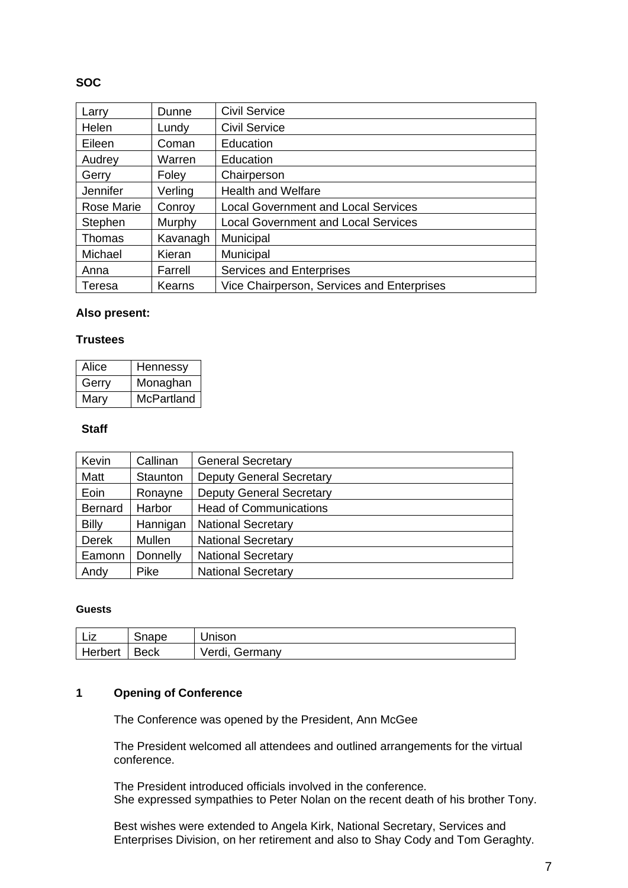# **SOC**

| Larry      | Dunne    | <b>Civil Service</b>                       |
|------------|----------|--------------------------------------------|
| Helen      | Lundy    | <b>Civil Service</b>                       |
| Eileen     | Coman    | Education                                  |
| Audrey     | Warren   | Education                                  |
| Gerry      | Foley    | Chairperson                                |
| Jennifer   | Verling  | <b>Health and Welfare</b>                  |
| Rose Marie | Conroy   | <b>Local Government and Local Services</b> |
| Stephen    | Murphy   | <b>Local Government and Local Services</b> |
| Thomas     | Kavanagh | Municipal                                  |
| Michael    | Kieran   | Municipal                                  |
| Anna       | Farrell  | <b>Services and Enterprises</b>            |
| Teresa     | Kearns   | Vice Chairperson, Services and Enterprises |

## **Also present:**

## **Trustees**

| Alice | Hennessy          |
|-------|-------------------|
| Gerry | Monaghan          |
| Mary  | <b>McPartland</b> |

## **Staff**

| Kevin          | Callinan      | <b>General Secretary</b>        |
|----------------|---------------|---------------------------------|
| Matt           | Staunton      | <b>Deputy General Secretary</b> |
| Eoin           | Ronayne       | <b>Deputy General Secretary</b> |
| <b>Bernard</b> | <b>Harbor</b> | <b>Head of Communications</b>   |
| <b>Billy</b>   | Hannigan      | <b>National Secretary</b>       |
| <b>Derek</b>   | Mullen        | <b>National Secretary</b>       |
| Eamonn         | Donnelly      | <b>National Secretary</b>       |
| Andy           | Pike          | <b>National Secretary</b>       |

#### **Guests**

| Liz     | Snape  | Unison         |
|---------|--------|----------------|
| Herbert | ⊟ Beck | Verdi, Germany |

# **1 Opening of Conference**

The Conference was opened by the President, Ann McGee

The President welcomed all attendees and outlined arrangements for the virtual conference.

The President introduced officials involved in the conference. She expressed sympathies to Peter Nolan on the recent death of his brother Tony.

Best wishes were extended to Angela Kirk, National Secretary, Services and Enterprises Division, on her retirement and also to Shay Cody and Tom Geraghty.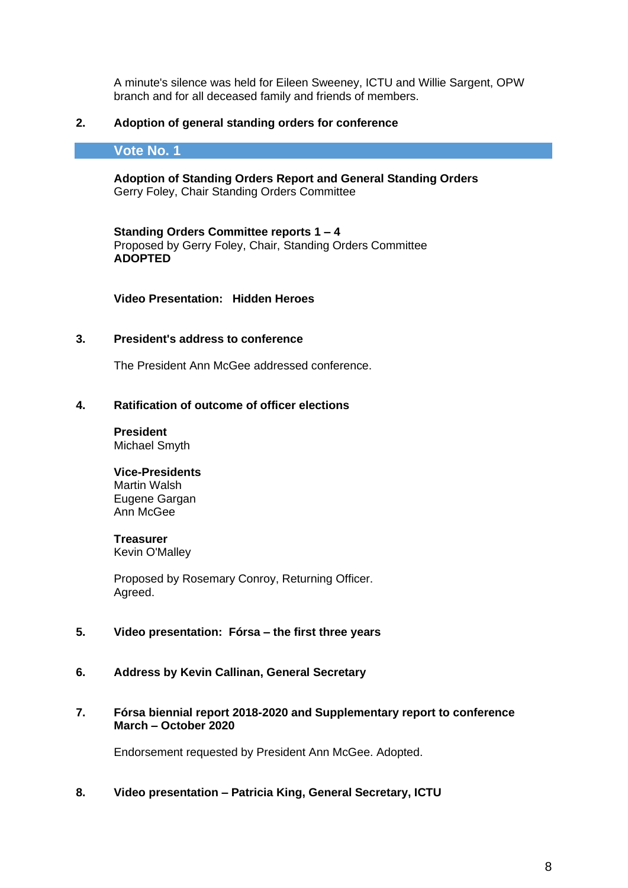A minute's silence was held for Eileen Sweeney, ICTU and Willie Sargent, OPW branch and for all deceased family and friends of members.

## **2. Adoption of general standing orders for conference**

## **Vote No. 1**

**Adoption of Standing Orders Report and General Standing Orders** Gerry Foley, Chair Standing Orders Committee

**Standing Orders Committee reports 1 – 4**  Proposed by Gerry Foley, Chair, Standing Orders Committee **ADOPTED**

**Video Presentation: Hidden Heroes**

### **3. President's address to conference**

The President Ann McGee addressed conference.

#### **4. Ratification of outcome of officer elections**

**President** Michael Smyth

#### **Vice-Presidents**

Martin Walsh Eugene Gargan Ann McGee

#### **Treasurer**

Kevin O'Malley

Proposed by Rosemary Conroy, Returning Officer. Agreed.

# **5. Video presentation: Fórsa – the first three years**

**6. Address by Kevin Callinan, General Secretary**

## **7. Fórsa biennial report 2018-2020 and Supplementary report to conference March – October 2020**

Endorsement requested by President Ann McGee. Adopted.

## **8. Video presentation – Patricia King, General Secretary, ICTU**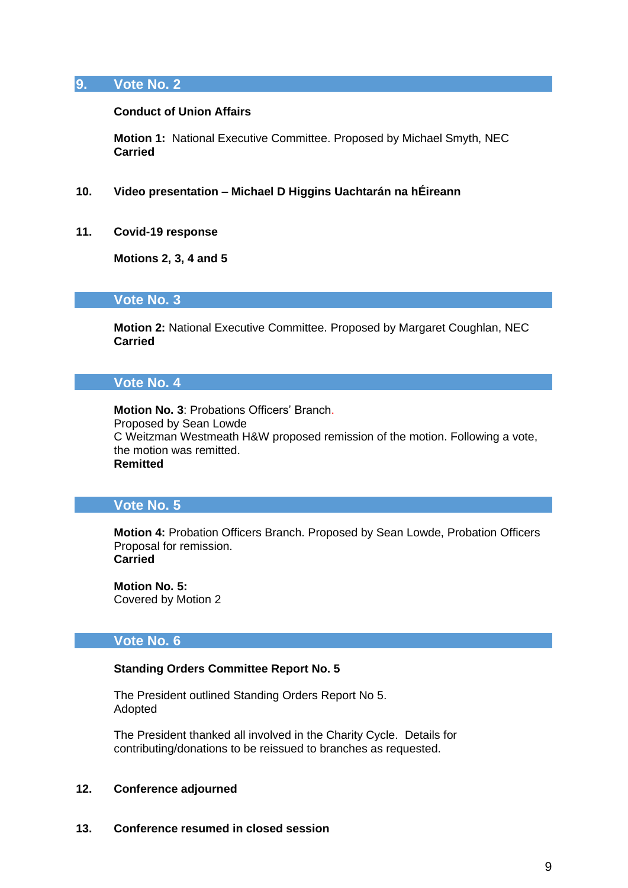# **9. Vote No. 2**

#### **Conduct of Union Affairs**

**Motion 1:** National Executive Committee. Proposed by Michael Smyth, NEC **Carried**

- **10. Video presentation – Michael D Higgins Uachtarán na hÉireann**
- **11. Covid-19 response**

**Motions 2, 3, 4 and 5**

## **Vote No. 3**

**Motion 2:** National Executive Committee. Proposed by Margaret Coughlan, NEC **Carried**

# **Vote No. 4**

**Motion No. 3**: Probations Officers' Branch. Proposed by Sean Lowde C Weitzman Westmeath H&W proposed remission of the motion. Following a vote, the motion was remitted. **Remitted**

## **Vote No. 5**

**Motion 4:** Probation Officers Branch. Proposed by Sean Lowde, Probation Officers Proposal for remission. **Carried**

**Motion No. 5:** Covered by Motion 2

## **Vote No. 6**

## **Standing Orders Committee Report No. 5**

The President outlined Standing Orders Report No 5. Adopted

The President thanked all involved in the Charity Cycle. Details for contributing/donations to be reissued to branches as requested.

#### **12. Conference adjourned**

### **13. Conference resumed in closed session**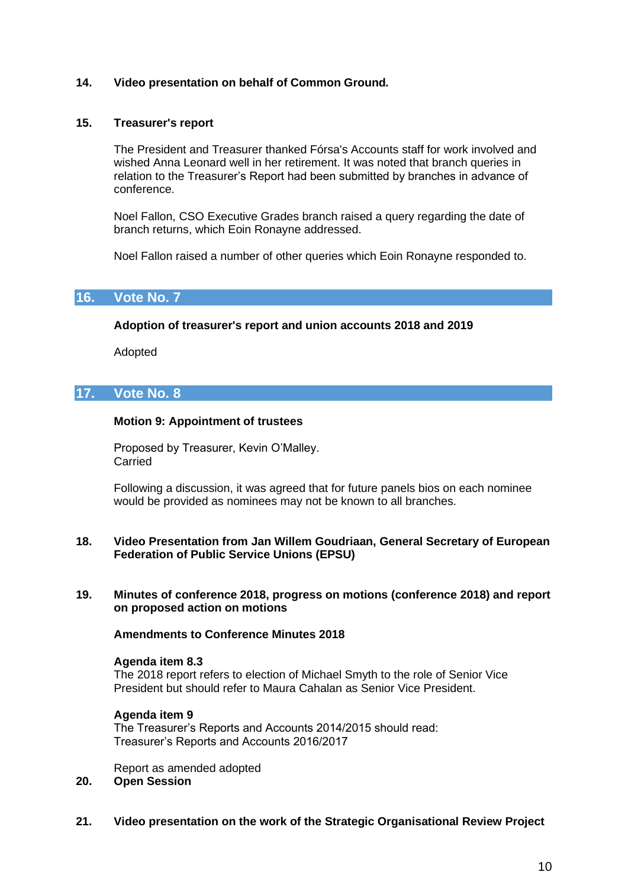## **14. Video presentation on behalf of Common Ground***.*

#### **15. Treasurer's report**

The President and Treasurer thanked Fórsa's Accounts staff for work involved and wished Anna Leonard well in her retirement. It was noted that branch queries in relation to the Treasurer's Report had been submitted by branches in advance of conference.

Noel Fallon, CSO Executive Grades branch raised a query regarding the date of branch returns, which Eoin Ronayne addressed.

Noel Fallon raised a number of other queries which Eoin Ronayne responded to.

## **16. Vote No. 7**

#### **Adoption of treasurer's report and union accounts 2018 and 2019**

Adopted

## **17. Vote No. 8**

#### **Motion 9: Appointment of trustees**

Proposed by Treasurer, Kevin O'Malley. Carried

Following a discussion, it was agreed that for future panels bios on each nominee would be provided as nominees may not be known to all branches.

#### **18. Video Presentation from Jan Willem Goudriaan, General Secretary of European Federation of Public Service Unions (EPSU)**

**19. Minutes of conference 2018, progress on motions (conference 2018) and report on proposed action on motions**

## **Amendments to Conference Minutes 2018**

#### **Agenda item 8.3**

The 2018 report refers to election of Michael Smyth to the role of Senior Vice President but should refer to Maura Cahalan as Senior Vice President.

#### **Agenda item 9**

The Treasurer's Reports and Accounts 2014/2015 should read: Treasurer's Reports and Accounts 2016/2017

Report as amended adopted **20. Open Session**

**21. Video presentation on the work of the Strategic Organisational Review Project**